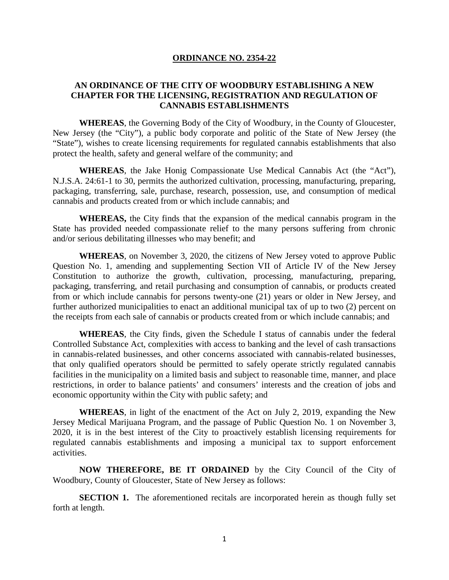### **ORDINANCE NO. 2354-22**

# **AN ORDINANCE OF THE CITY OF WOODBURY ESTABLISHING A NEW CHAPTER FOR THE LICENSING, REGISTRATION AND REGULATION OF CANNABIS ESTABLISHMENTS**

**WHEREAS**, the Governing Body of the City of Woodbury, in the County of Gloucester, New Jersey (the "City"), a public body corporate and politic of the State of New Jersey (the "State"), wishes to create licensing requirements for regulated cannabis establishments that also protect the health, safety and general welfare of the community; and

**WHEREAS**, the Jake Honig Compassionate Use Medical Cannabis Act (the "Act"), N.J.S.A. 24:61-1 to 30, permits the authorized cultivation, processing, manufacturing, preparing, packaging, transferring, sale, purchase, research, possession, use, and consumption of medical cannabis and products created from or which include cannabis; and

**WHEREAS,** the City finds that the expansion of the medical cannabis program in the State has provided needed compassionate relief to the many persons suffering from chronic and/or serious debilitating illnesses who may benefit; and

**WHEREAS**, on November 3, 2020, the citizens of New Jersey voted to approve Public Question No. 1, amending and supplementing Section VII of Article IV of the New Jersey Constitution to authorize the growth, cultivation, processing, manufacturing, preparing, packaging, transferring, and retail purchasing and consumption of cannabis, or products created from or which include cannabis for persons twenty-one (21) years or older in New Jersey, and further authorized municipalities to enact an additional municipal tax of up to two (2) percent on the receipts from each sale of cannabis or products created from or which include cannabis; and

**WHEREAS**, the City finds, given the Schedule I status of cannabis under the federal Controlled Substance Act, complexities with access to banking and the level of cash transactions in cannabis-related businesses, and other concerns associated with cannabis-related businesses, that only qualified operators should be permitted to safely operate strictly regulated cannabis facilities in the municipality on a limited basis and subject to reasonable time, manner, and place restrictions, in order to balance patients' and consumers' interests and the creation of jobs and economic opportunity within the City with public safety; and

**WHEREAS**, in light of the enactment of the Act on July 2, 2019, expanding the New Jersey Medical Marijuana Program, and the passage of Public Question No. 1 on November 3, 2020, it is in the best interest of the City to proactively establish licensing requirements for regulated cannabis establishments and imposing a municipal tax to support enforcement activities.

**NOW THEREFORE, BE IT ORDAINED** by the City Council of the City of Woodbury, County of Gloucester, State of New Jersey as follows:

**SECTION 1.** The aforementioned recitals are incorporated herein as though fully set forth at length.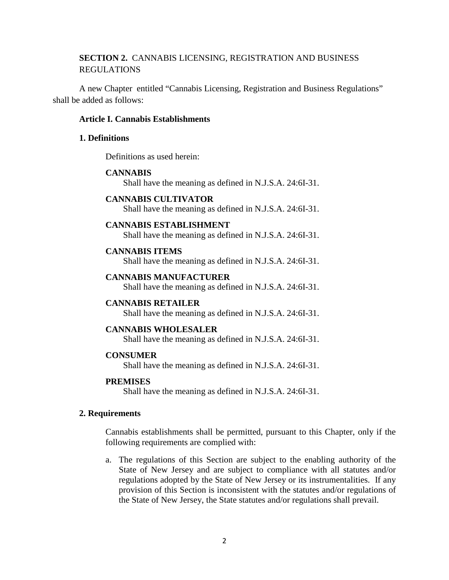# **SECTION 2.** CANNABIS LICENSING, REGISTRATION AND BUSINESS REGULATIONS

A new Chapter entitled "Cannabis Licensing, Registration and Business Regulations" shall be added as follows:

### **Article I. Cannabis Establishments**

### **1. Definitions**

Definitions as used herein:

## **CANNABIS**

Shall have the meaning as defined in N.J.S.A. 24:6I-31.

### **CANNABIS CULTIVATOR**

Shall have the meaning as defined in N.J.S.A. 24:6I-31.

#### **CANNABIS ESTABLISHMENT**

Shall have the meaning as defined in N.J.S.A. 24:6I-31.

# **CANNABIS ITEMS**

Shall have the meaning as defined in N.J.S.A. 24:6I-31.

# **CANNABIS MANUFACTURER**

Shall have the meaning as defined in N.J.S.A. 24:6I-31.

### **CANNABIS RETAILER**

Shall have the meaning as defined in N.J.S.A. 24:6I-31.

### **CANNABIS WHOLESALER**

Shall have the meaning as defined in N.J.S.A. 24:6I-31.

# **CONSUMER**

Shall have the meaning as defined in N.J.S.A. 24:6I-31.

#### **PREMISES**

Shall have the meaning as defined in N.J.S.A. 24:6I-31.

### **2. Requirements**

Cannabis establishments shall be permitted, pursuant to this Chapter, only if the following requirements are complied with:

a. The regulations of this Section are subject to the enabling authority of the State of New Jersey and are subject to compliance with all statutes and/or regulations adopted by the State of New Jersey or its instrumentalities. If any provision of this Section is inconsistent with the statutes and/or regulations of the State of New Jersey, the State statutes and/or regulations shall prevail.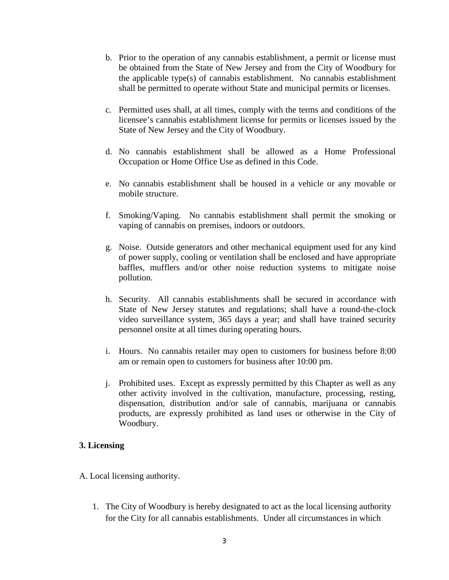- b. Prior to the operation of any cannabis establishment, a permit or license must be obtained from the State of New Jersey and from the City of Woodbury for the applicable type(s) of cannabis establishment. No cannabis establishment shall be permitted to operate without State and municipal permits or licenses.
- c. Permitted uses shall, at all times, comply with the terms and conditions of the licensee's cannabis establishment license for permits or licenses issued by the State of New Jersey and the City of Woodbury.
- d. No cannabis establishment shall be allowed as a Home Professional Occupation or Home Office Use as defined in this Code.
- e. No cannabis establishment shall be housed in a vehicle or any movable or mobile structure.
- f. Smoking/Vaping. No cannabis establishment shall permit the smoking or vaping of cannabis on premises, indoors or outdoors.
- g. Noise. Outside generators and other mechanical equipment used for any kind of power supply, cooling or ventilation shall be enclosed and have appropriate baffles, mufflers and/or other noise reduction systems to mitigate noise pollution.
- h. Security. All cannabis establishments shall be secured in accordance with State of New Jersey statutes and regulations; shall have a round-the-clock video surveillance system, 365 days a year; and shall have trained security personnel onsite at all times during operating hours.
- i. Hours. No cannabis retailer may open to customers for business before 8:00 am or remain open to customers for business after 10:00 pm.
- j. Prohibited uses. Except as expressly permitted by this Chapter as well as any other activity involved in the cultivation, manufacture, processing, resting, dispensation, distribution and/or sale of cannabis, marijuana or cannabis products, are expressly prohibited as land uses or otherwise in the City of Woodbury.

# **3. Licensing**

- A. Local licensing authority.
	- 1. The City of Woodbury is hereby designated to act as the local licensing authority for the City for all cannabis establishments. Under all circumstances in which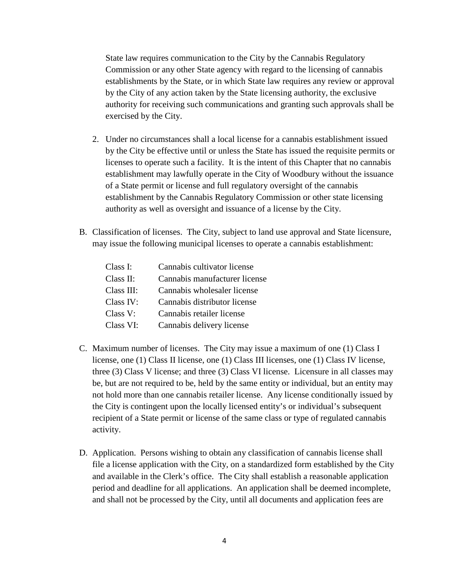State law requires communication to the City by the Cannabis Regulatory Commission or any other State agency with regard to the licensing of cannabis establishments by the State, or in which State law requires any review or approval by the City of any action taken by the State licensing authority, the exclusive authority for receiving such communications and granting such approvals shall be exercised by the City.

- 2. Under no circumstances shall a local license for a cannabis establishment issued by the City be effective until or unless the State has issued the requisite permits or licenses to operate such a facility. It is the intent of this Chapter that no cannabis establishment may lawfully operate in the City of Woodbury without the issuance of a State permit or license and full regulatory oversight of the cannabis establishment by the Cannabis Regulatory Commission or other state licensing authority as well as oversight and issuance of a license by the City.
- B. Classification of licenses. The City, subject to land use approval and State licensure, may issue the following municipal licenses to operate a cannabis establishment:

| Class I:   | Cannabis cultivator license   |
|------------|-------------------------------|
| Class II:  | Cannabis manufacturer license |
| Class III: | Cannabis wholesaler license   |
| Class IV:  | Cannabis distributor license  |
| Class V:   | Cannabis retailer license     |
| Class VI:  | Cannabis delivery license     |
|            |                               |

- C. Maximum number of licenses. The City may issue a maximum of one (1) Class I license, one (1) Class II license, one (1) Class III licenses, one (1) Class IV license, three (3) Class V license; and three (3) Class VI license. Licensure in all classes may be, but are not required to be, held by the same entity or individual, but an entity may not hold more than one cannabis retailer license. Any license conditionally issued by the City is contingent upon the locally licensed entity's or individual's subsequent recipient of a State permit or license of the same class or type of regulated cannabis activity.
- D. Application. Persons wishing to obtain any classification of cannabis license shall file a license application with the City, on a standardized form established by the City and available in the Clerk's office. The City shall establish a reasonable application period and deadline for all applications. An application shall be deemed incomplete, and shall not be processed by the City, until all documents and application fees are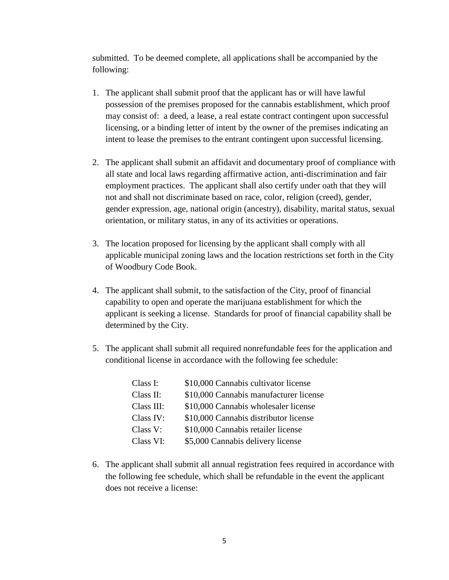submitted. To be deemed complete, all applications shall be accompanied by the following:

- 1. The applicant shall submit proof that the applicant has or will have lawful possession of the premises proposed for the cannabis establishment, which proof may consist of: a deed, a lease, a real estate contract contingent upon successful licensing, or a binding letter of intent by the owner of the premises indicating an intent to lease the premises to the entrant contingent upon successful licensing.
- 2. The applicant shall submit an affidavit and documentary proof of compliance with all state and local laws regarding affirmative action, anti-discrimination and fair employment practices. The applicant shall also certify under oath that they will not and shall not discriminate based on race, color, religion (creed), gender, gender expression, age, national origin (ancestry), disability, marital status, sexual orientation, or military status, in any of its activities or operations.
- 3. The location proposed for licensing by the applicant shall comply with all applicable municipal zoning laws and the location restrictions set forth in the City of Woodbury Code Book.
- 4. The applicant shall submit, to the satisfaction of the City, proof of financial capability to open and operate the marijuana establishment for which the applicant is seeking a license. Standards for proof of financial capability shall be determined by the City.
- 5. The applicant shall submit all required nonrefundable fees for the application and conditional license in accordance with the following fee schedule:

| Class I:   | \$10,000 Cannabis cultivator license   |
|------------|----------------------------------------|
| Class II:  | \$10,000 Cannabis manufacturer license |
| Class III: | \$10,000 Cannabis wholesaler license   |
| Class IV:  | \$10,000 Cannabis distributor license  |
| Class V:   | \$10,000 Cannabis retailer license     |
| Class VI:  | \$5,000 Cannabis delivery license      |

6. The applicant shall submit all annual registration fees required in accordance with the following fee schedule, which shall be refundable in the event the applicant does not receive a license: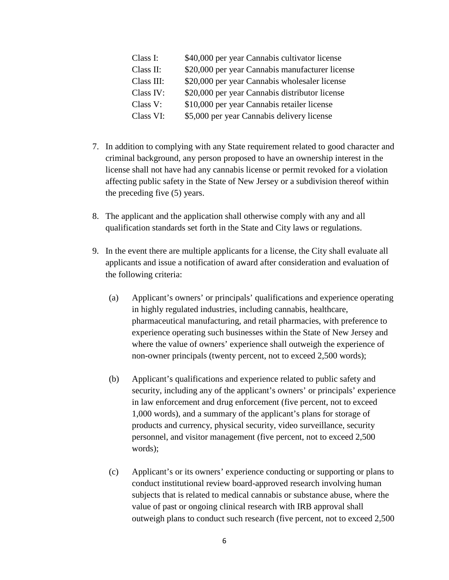| Class I:   | \$40,000 per year Cannabis cultivator license   |
|------------|-------------------------------------------------|
| Class II:  | \$20,000 per year Cannabis manufacturer license |
| Class III: | \$20,000 per year Cannabis wholesaler license   |
| Class IV:  | \$20,000 per year Cannabis distributor license  |
| Class V:   | \$10,000 per year Cannabis retailer license     |
| Class VI:  | \$5,000 per year Cannabis delivery license      |

- 7. In addition to complying with any State requirement related to good character and criminal background, any person proposed to have an ownership interest in the license shall not have had any cannabis license or permit revoked for a violation affecting public safety in the State of New Jersey or a subdivision thereof within the preceding five (5) years.
- 8. The applicant and the application shall otherwise comply with any and all qualification standards set forth in the State and City laws or regulations.
- 9. In the event there are multiple applicants for a license, the City shall evaluate all applicants and issue a notification of award after consideration and evaluation of the following criteria:
	- (a) Applicant's owners' or principals' qualifications and experience operating in highly regulated industries, including cannabis, healthcare, pharmaceutical manufacturing, and retail pharmacies, with preference to experience operating such businesses within the State of New Jersey and where the value of owners' experience shall outweigh the experience of non-owner principals (twenty percent, not to exceed 2,500 words);
	- (b) Applicant's qualifications and experience related to public safety and security, including any of the applicant's owners' or principals' experience in law enforcement and drug enforcement (five percent, not to exceed 1,000 words), and a summary of the applicant's plans for storage of products and currency, physical security, video surveillance, security personnel, and visitor management (five percent, not to exceed 2,500 words);
	- (c) Applicant's or its owners' experience conducting or supporting or plans to conduct institutional review board-approved research involving human subjects that is related to medical cannabis or substance abuse, where the value of past or ongoing clinical research with IRB approval shall outweigh plans to conduct such research (five percent, not to exceed 2,500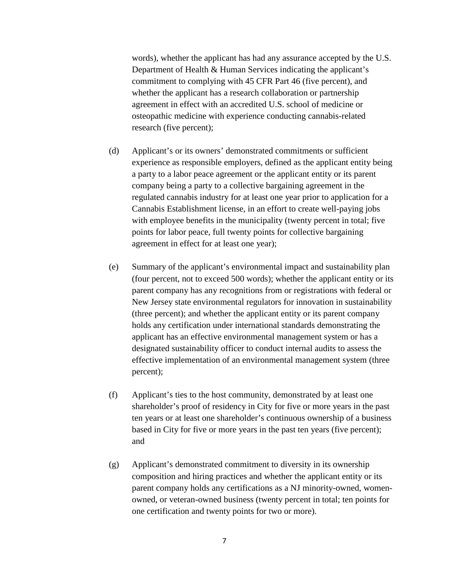words), whether the applicant has had any assurance accepted by the U.S. Department of Health & Human Services indicating the applicant's commitment to complying with 45 CFR Part 46 (five percent), and whether the applicant has a research collaboration or partnership agreement in effect with an accredited U.S. school of medicine or osteopathic medicine with experience conducting cannabis-related research (five percent);

- (d) Applicant's or its owners' demonstrated commitments or sufficient experience as responsible employers, defined as the applicant entity being a party to a labor peace agreement or the applicant entity or its parent company being a party to a collective bargaining agreement in the regulated cannabis industry for at least one year prior to application for a Cannabis Establishment license, in an effort to create well-paying jobs with employee benefits in the municipality (twenty percent in total; five points for labor peace, full twenty points for collective bargaining agreement in effect for at least one year);
- (e) Summary of the applicant's environmental impact and sustainability plan (four percent, not to exceed 500 words); whether the applicant entity or its parent company has any recognitions from or registrations with federal or New Jersey state environmental regulators for innovation in sustainability (three percent); and whether the applicant entity or its parent company holds any certification under international standards demonstrating the applicant has an effective environmental management system or has a designated sustainability officer to conduct internal audits to assess the effective implementation of an environmental management system (three percent);
- (f) Applicant's ties to the host community, demonstrated by at least one shareholder's proof of residency in City for five or more years in the past ten years or at least one shareholder's continuous ownership of a business based in City for five or more years in the past ten years (five percent); and
- (g) Applicant's demonstrated commitment to diversity in its ownership composition and hiring practices and whether the applicant entity or its parent company holds any certifications as a NJ minority-owned, womenowned, or veteran-owned business (twenty percent in total; ten points for one certification and twenty points for two or more).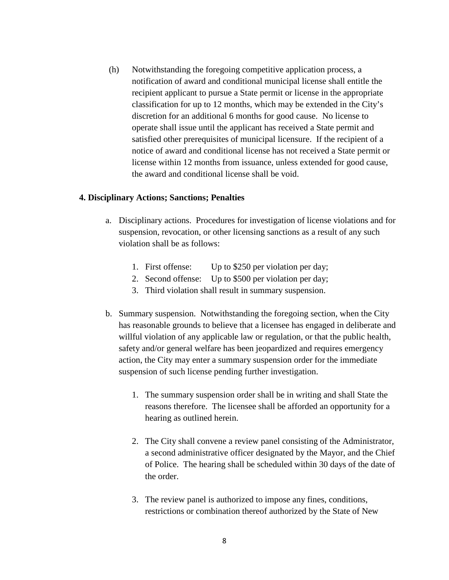(h) Notwithstanding the foregoing competitive application process, a notification of award and conditional municipal license shall entitle the recipient applicant to pursue a State permit or license in the appropriate classification for up to 12 months, which may be extended in the City's discretion for an additional 6 months for good cause. No license to operate shall issue until the applicant has received a State permit and satisfied other prerequisites of municipal licensure. If the recipient of a notice of award and conditional license has not received a State permit or license within 12 months from issuance, unless extended for good cause, the award and conditional license shall be void.

### **4. Disciplinary Actions; Sanctions; Penalties**

- a. Disciplinary actions. Procedures for investigation of license violations and for suspension, revocation, or other licensing sanctions as a result of any such violation shall be as follows:
	- 1. First offense: Up to \$250 per violation per day;
	- 2. Second offense: Up to \$500 per violation per day;
	- 3. Third violation shall result in summary suspension.
- b. Summary suspension. Notwithstanding the foregoing section, when the City has reasonable grounds to believe that a licensee has engaged in deliberate and willful violation of any applicable law or regulation, or that the public health, safety and/or general welfare has been jeopardized and requires emergency action, the City may enter a summary suspension order for the immediate suspension of such license pending further investigation.
	- 1. The summary suspension order shall be in writing and shall State the reasons therefore. The licensee shall be afforded an opportunity for a hearing as outlined herein.
	- 2. The City shall convene a review panel consisting of the Administrator, a second administrative officer designated by the Mayor, and the Chief of Police. The hearing shall be scheduled within 30 days of the date of the order.
	- 3. The review panel is authorized to impose any fines, conditions, restrictions or combination thereof authorized by the State of New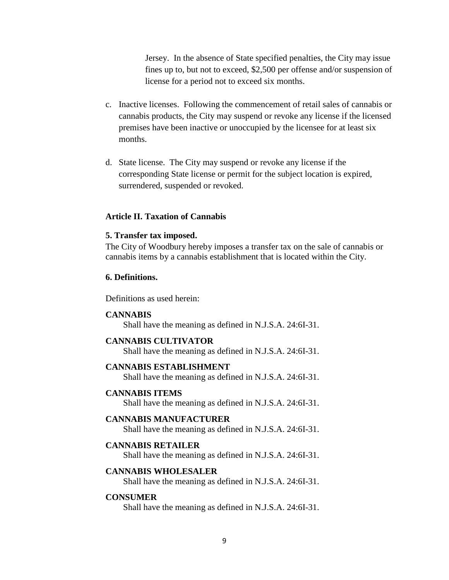Jersey. In the absence of State specified penalties, the City may issue fines up to, but not to exceed, \$2,500 per offense and/or suspension of license for a period not to exceed six months.

- c. Inactive licenses. Following the commencement of retail sales of cannabis or cannabis products, the City may suspend or revoke any license if the licensed premises have been inactive or unoccupied by the licensee for at least six months.
- d. State license. The City may suspend or revoke any license if the corresponding State license or permit for the subject location is expired, surrendered, suspended or revoked.

#### **Article II. Taxation of Cannabis**

#### **5. Transfer tax imposed.**

The City of Woodbury hereby imposes a transfer tax on the sale of cannabis or cannabis items by a cannabis establishment that is located within the City.

### **6. Definitions.**

Definitions as used herein:

#### **CANNABIS**

Shall have the meaning as defined in N.J.S.A. 24:6I-31.

### **CANNABIS CULTIVATOR**

Shall have the meaning as defined in N.J.S.A. 24:6I-31.

#### **CANNABIS ESTABLISHMENT**

Shall have the meaning as defined in N.J.S.A. 24:6I-31.

#### **CANNABIS ITEMS**

Shall have the meaning as defined in N.J.S.A. 24:6I-31.

### **CANNABIS MANUFACTURER**

Shall have the meaning as defined in N.J.S.A. 24:6I-31.

### **CANNABIS RETAILER**

Shall have the meaning as defined in N.J.S.A. 24:6I-31.

# **CANNABIS WHOLESALER**

Shall have the meaning as defined in N.J.S.A. 24:6I-31.

### **CONSUMER**

Shall have the meaning as defined in N.J.S.A. 24:6I-31.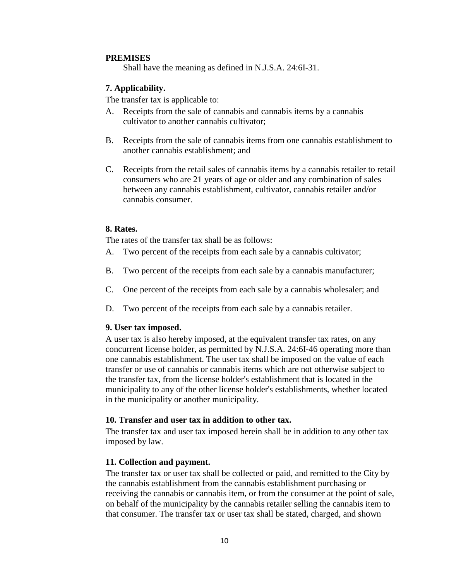# **PREMISES**

Shall have the meaning as defined in N.J.S.A. 24:6I-31.

# **7. Applicability.**

The transfer tax is applicable to:

- A. Receipts from the sale of cannabis and cannabis items by a cannabis cultivator to another cannabis cultivator;
- B. Receipts from the sale of cannabis items from one cannabis establishment to another cannabis establishment; and
- C. Receipts from the retail sales of cannabis items by a cannabis retailer to retail consumers who are 21 years of age or older and any combination of sales between any cannabis establishment, cultivator, cannabis retailer and/or cannabis consumer.

# **8. Rates.**

The rates of the transfer tax shall be as follows:

- A. Two percent of the receipts from each sale by a cannabis cultivator;
- B. Two percent of the receipts from each sale by a cannabis manufacturer;
- C. One percent of the receipts from each sale by a cannabis wholesaler; and
- D. Two percent of the receipts from each sale by a cannabis retailer.

# **9. User tax imposed.**

A user tax is also hereby imposed, at the equivalent transfer tax rates, on any concurrent license holder, as permitted by N.J.S.A. 24:6I-46 operating more than one cannabis establishment. The user tax shall be imposed on the value of each transfer or use of cannabis or cannabis items which are not otherwise subject to the transfer tax, from the license holder's establishment that is located in the municipality to any of the other license holder's establishments, whether located in the municipality or another municipality.

### **10. Transfer and user tax in addition to other tax.**

The transfer tax and user tax imposed herein shall be in addition to any other tax imposed by law.

# **11. Collection and payment.**

The transfer tax or user tax shall be collected or paid, and remitted to the City by the cannabis establishment from the cannabis establishment purchasing or receiving the cannabis or cannabis item, or from the consumer at the point of sale, on behalf of the municipality by the cannabis retailer selling the cannabis item to that consumer. The transfer tax or user tax shall be stated, charged, and shown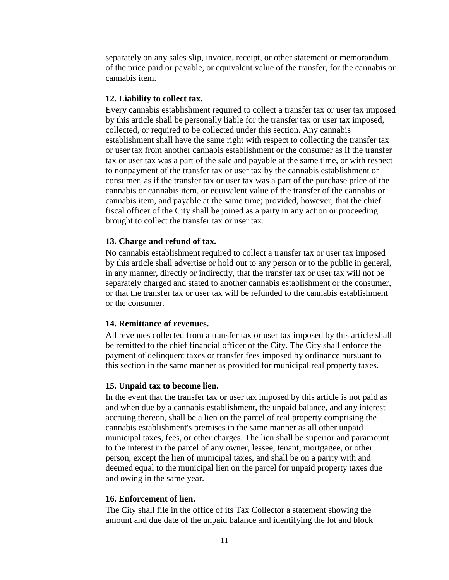separately on any sales slip, invoice, receipt, or other statement or memorandum of the price paid or payable, or equivalent value of the transfer, for the cannabis or cannabis item.

### **12. Liability to collect tax.**

Every cannabis establishment required to collect a transfer tax or user tax imposed by this article shall be personally liable for the transfer tax or user tax imposed, collected, or required to be collected under this section. Any cannabis establishment shall have the same right with respect to collecting the transfer tax or user tax from another cannabis establishment or the consumer as if the transfer tax or user tax was a part of the sale and payable at the same time, or with respect to nonpayment of the transfer tax or user tax by the cannabis establishment or consumer, as if the transfer tax or user tax was a part of the purchase price of the cannabis or cannabis item, or equivalent value of the transfer of the cannabis or cannabis item, and payable at the same time; provided, however, that the chief fiscal officer of the City shall be joined as a party in any action or proceeding brought to collect the transfer tax or user tax.

## **13. Charge and refund of tax.**

No cannabis establishment required to collect a transfer tax or user tax imposed by this article shall advertise or hold out to any person or to the public in general, in any manner, directly or indirectly, that the transfer tax or user tax will not be separately charged and stated to another cannabis establishment or the consumer, or that the transfer tax or user tax will be refunded to the cannabis establishment or the consumer.

### **14. Remittance of revenues.**

All revenues collected from a transfer tax or user tax imposed by this article shall be remitted to the chief financial officer of the City. The City shall enforce the payment of delinquent taxes or transfer fees imposed by ordinance pursuant to this section in the same manner as provided for municipal real property taxes.

### **15. Unpaid tax to become lien.**

In the event that the transfer tax or user tax imposed by this article is not paid as and when due by a cannabis establishment, the unpaid balance, and any interest accruing thereon, shall be a lien on the parcel of real property comprising the cannabis establishment's premises in the same manner as all other unpaid municipal taxes, fees, or other charges. The lien shall be superior and paramount to the interest in the parcel of any owner, lessee, tenant, mortgagee, or other person, except the lien of municipal taxes, and shall be on a parity with and deemed equal to the municipal lien on the parcel for unpaid property taxes due and owing in the same year.

### **16. Enforcement of lien.**

The City shall file in the office of its Tax Collector a statement showing the amount and due date of the unpaid balance and identifying the lot and block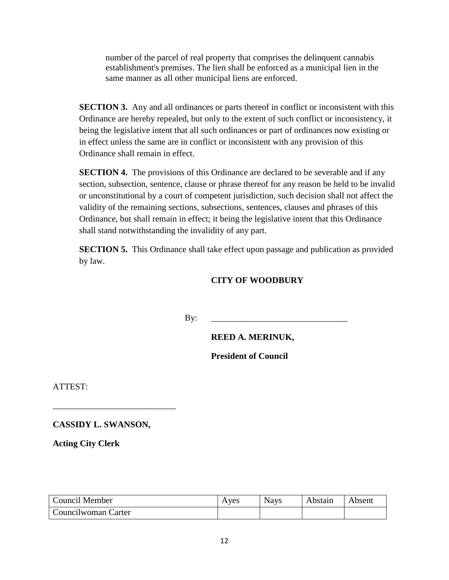number of the parcel of real property that comprises the delinquent cannabis establishment's premises. The lien shall be enforced as a municipal lien in the same manner as all other municipal liens are enforced.

**SECTION 3.** Any and all ordinances or parts thereof in conflict or inconsistent with this Ordinance are hereby repealed, but only to the extent of such conflict or inconsistency, it being the legislative intent that all such ordinances or part of ordinances now existing or in effect unless the same are in conflict or inconsistent with any provision of this Ordinance shall remain in effect.

**SECTION 4.** The provisions of this Ordinance are declared to be severable and if any section, subsection, sentence, clause or phrase thereof for any reason be held to be invalid or unconstitutional by a court of competent jurisdiction, such decision shall not affect the validity of the remaining sections, subsections, sentences, clauses and phrases of this Ordinance, but shall remain in effect; it being the legislative intent that this Ordinance shall stand notwithstanding the invalidity of any part.

**SECTION 5.** This Ordinance shall take effect upon passage and publication as provided by law.

# **CITY OF WOODBURY**

By: \_\_\_\_\_\_\_\_\_\_\_\_\_\_\_\_\_\_\_\_\_\_\_\_\_\_\_\_\_\_\_

**REED A. MERINUK,** 

**President of Council**

ATTEST:

**CASSIDY L. SWANSON,**

\_\_\_\_\_\_\_\_\_\_\_\_\_\_\_\_\_\_\_\_\_\_\_\_\_\_\_\_

**Acting City Clerk**

| Council Member      | Aves | Navs | Abstain | Absent |
|---------------------|------|------|---------|--------|
| Councilwoman Carter |      |      |         |        |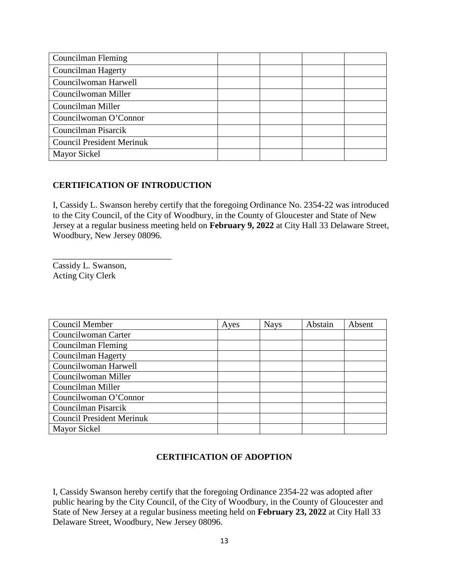| Councilman Fleming               |  |  |
|----------------------------------|--|--|
| Councilman Hagerty               |  |  |
| Councilwoman Harwell             |  |  |
| Councilwoman Miller              |  |  |
| Councilman Miller                |  |  |
| Councilwoman O'Connor            |  |  |
| Councilman Pisarcik              |  |  |
| <b>Council President Merinuk</b> |  |  |
| Mayor Sickel                     |  |  |

# **CERTIFICATION OF INTRODUCTION**

I, Cassidy L. Swanson hereby certify that the foregoing Ordinance No. 2354-22 was introduced to the City Council, of the City of Woodbury, in the County of Gloucester and State of New Jersey at a regular business meeting held on **February 9, 2022** at City Hall 33 Delaware Street, Woodbury, New Jersey 08096.

Cassidy L. Swanson, Acting City Clerk

\_\_\_\_\_\_\_\_\_\_\_\_\_\_\_\_\_\_\_\_\_\_\_\_\_\_\_

| Council Member                   | Ayes | <b>Nays</b> | Abstain | Absent |
|----------------------------------|------|-------------|---------|--------|
| Councilwoman Carter              |      |             |         |        |
| Councilman Fleming               |      |             |         |        |
| Councilman Hagerty               |      |             |         |        |
| Councilwoman Harwell             |      |             |         |        |
| Councilwoman Miller              |      |             |         |        |
| Councilman Miller                |      |             |         |        |
| Councilwoman O'Connor            |      |             |         |        |
| Councilman Pisarcik              |      |             |         |        |
| <b>Council President Merinuk</b> |      |             |         |        |
| Mayor Sickel                     |      |             |         |        |

# **CERTIFICATION OF ADOPTION**

I, Cassidy Swanson hereby certify that the foregoing Ordinance 2354-22 was adopted after public hearing by the City Council, of the City of Woodbury, in the County of Gloucester and State of New Jersey at a regular business meeting held on **February 23, 2022** at City Hall 33 Delaware Street, Woodbury, New Jersey 08096.